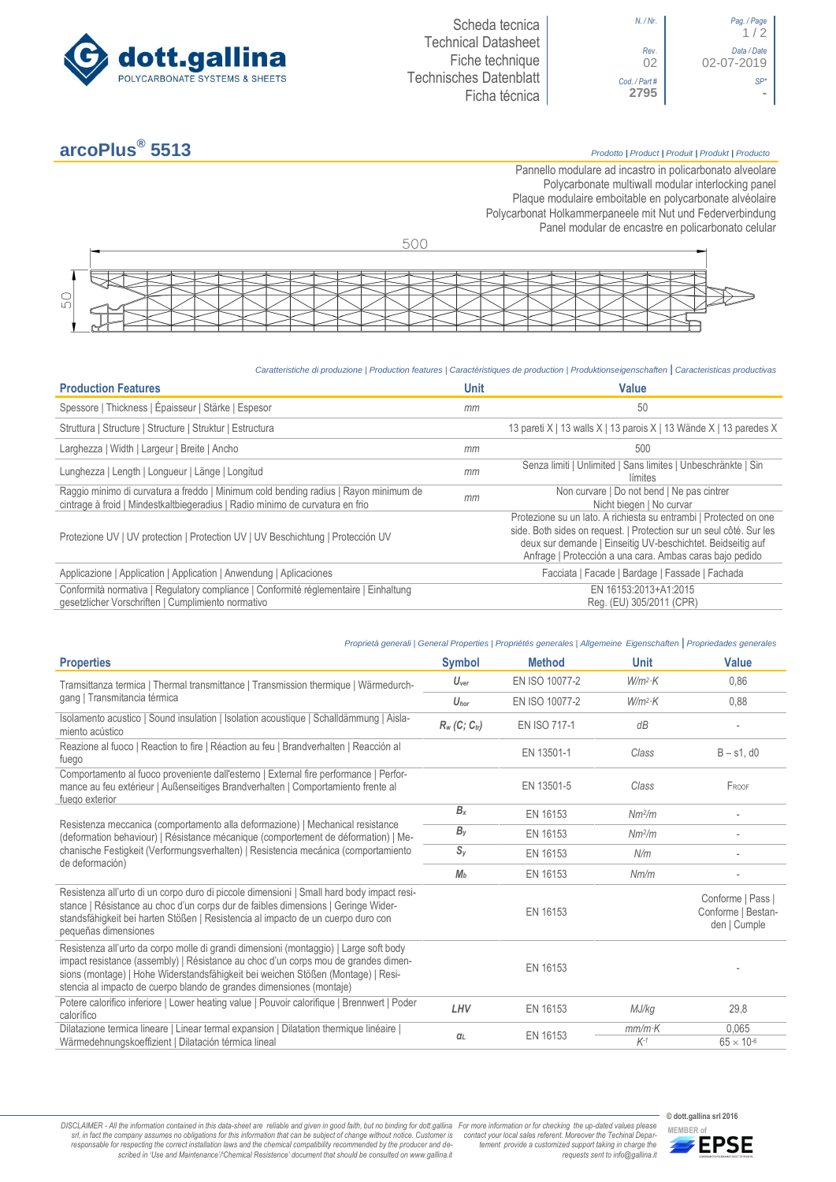

## *N. / Nr*. *Pag. / Page*  $1/2$ *Rev*. *Data / Date* 02-07-2019 *Cod. / Part # SP\**

# **arcoPlus®**

### **5513** *Prodotto <sup>|</sup> Product <sup>|</sup> Produit <sup>|</sup> Produkt <sup>|</sup> Producto*

Pannello modulare ad incastro in policarbonato alveolare Polycarbonate multiwall modular interlocking panel Plaque modulaire emboitable en polycarbonate alvéolaire Polycarbonat Holkammerpaneele mit Nut und Federverbindung [Panel modular de encastre en policarbonato c](http://www.google.it/url?sa=t&rct=j&q=&esrc=s&source=web&cd=6&ved=0ahUKEwiPyOW6w_3PAhXLORoKHXbkAhUQFggtMAU&url=http%3A%2F%2Fwww.getsl.com%2Fes%2Fmateriales-construccion%2Fsabic-policarbonato%2Fplaca-solida%2Flexan-exell-d-placa-translucida%2F&usg=AFQjCNF4aMpg9CRcF79iWWH-XBKKMH3eWA&bvm=bv.136811127,d.bGs)elular



#### *Caratteristiche di produzione | Production features | Caractéristiques de production | Produktionseigenschaften* **|** *Caracteristicas productivas*

| <b>Production Features</b>                                                                                                                                            | <b>Unit</b> | Value                                                                                                                                                                                                                                                               |
|-----------------------------------------------------------------------------------------------------------------------------------------------------------------------|-------------|---------------------------------------------------------------------------------------------------------------------------------------------------------------------------------------------------------------------------------------------------------------------|
| Spessore   Thickness   Épaisseur   Stärke   Espesor                                                                                                                   | mm          | 50                                                                                                                                                                                                                                                                  |
| Struttura   Structure   Structure   Struktur   Estructura                                                                                                             |             | 13 pareti X   13 walls X   13 parois X   13 Wände X   13 paredes X                                                                                                                                                                                                  |
| Larghezza   Width   Largeur   Breite   Ancho                                                                                                                          | mm          | 500                                                                                                                                                                                                                                                                 |
| Lunghezza   Length   Longueur   Länge   Longitud                                                                                                                      | mm          | Senza limiti   Unlimited   Sans limites   Unbeschränkte   Sin<br>límites                                                                                                                                                                                            |
| Raggio minimo di curvatura a freddo   Minimum cold bending radius   Rayon minimum de<br>cintrage à froid   Mindestkaltbiegeradius   Radio mínimo de curvatura en frio | mm          | Non curvare   Do not bend   Ne pas cintrer<br>Nicht biegen   No curvar                                                                                                                                                                                              |
| Protezione UV   UV protection   Protection UV   UV Beschichtung   Protección UV                                                                                       |             | Protezione su un lato. A richiesta su entrambi   Protected on one<br>side. Both sides on request.   Protection sur un seul côté. Sur les<br>deux sur demande   Einseitig UV-beschichtet. Beidseitig auf<br>Anfrage   Protección a una cara. Ambas caras bajo pedido |
| Applicazione   Application   Application   Anwendung   Aplicaciones                                                                                                   |             | Facciata   Facade   Bardage   Fassade   Fachada                                                                                                                                                                                                                     |
| Conformità normativa   Regulatory compliance   Conformité réglementaire   Einhaltung<br>gesetzlicher Vorschriften   Cumplimiento normativo                            |             | EN 16153:2013+A1:2015<br>Reg. (EU) 305/2011 (CPR)                                                                                                                                                                                                                   |

#### *Proprietà generali | General Properties | Propriétés generales | Allgemeine Eigenschaften* **|** *Propriedades generales* **Properties Symbol Method Unit Value** Tramsittanza termica | Thermal transmittance | Transmission thermique | Wärmedurchgang | Transmitancia térmica *Uver* EN ISO 10077-2 *W/m<sup>2</sup> ·K* 0,86  $U_{\text{hor}}$  EN ISO 10077-2 *W/m<sup>2</sup>*·*K ·K* 0,88 Isolamento acustico | Sound insulation | Isolation acoustique | Schalldämmung | Aisla-miento acústico *R<sup>w</sup> (C; Ctr)* EN ISO 717-1 *dB* - Reazione al fuoco | Reaction to fire | Réaction au feu | Brandverhalten | Reacción al B – s1, d0<br>fuego Comportamento al fuoco proveniente dall'esterno | External fire performance | Performance au feu extérieur | Außenseitiges Brandverhalten | Comportamiento frente al fuego exterior EN 13501-5 **Class Class** F<sub>ROOF</sub> Resistenza meccanica (comportamento alla deformazione) | Mechanical resistance (deformation behaviour) | Résistance mécanique (comportement de déformation) | Mechanische Festigkeit (Verformungsverhalten) | Resistencia mecánica (comportamiento de deformación) *B<sup>x</sup>* EN 16153 *Nm<sup>2</sup> /m* - *B<sup>y</sup>* EN 16153 *Nm<sup>2</sup> /m* - *S<sup>y</sup>* EN 16153 *N/m* - *M<sup>b</sup>* EN 16153 *Nm/m* - Resistenza all'urto di un corpo duro di piccole dimensioni | Small hard body impact resistance | Résistance au choc d'un corps dur de faibles dimensions | Geringe Widerstandsfähigkeit bei harten Stößen | Resistencia al impacto de un cuerpo duro con pequeñas dimensiones EN 16153 Conforme | Pass | Conforme | Bestanden | Cumple Resistenza all'urto da corpo molle di grandi dimensioni (montaggio) | Large soft body impact resistance (assembly) | Résistance au choc d'un corps mou de grandes dimensions (montage) | Hohe Widerstandsfähigkeit bei weichen Stößen (Montage) | Resistencia al impacto de cuerpo blando de grandes dimensiones (montaje) FN 16153 Potere calorifico inferiore | Lower heating value | Pouvoir calorifique | Brennwert | Poder calorífico *LHV* EN 16153 *MJ/kg* 29,8 Dilatazione termica lineare | Linear termal expansion | Dilatation thermique linéaire | Wärmedehnungskoeffizient | Dilatación térmica lineal *<sup>α</sup><sup>L</sup>* EN 16153 *mm/m·K* 0,065  $K^{-1}$  65  $\times$  10<sup>-6</sup>

DISCLAIMER - All the information contained in this data-sheet are reliable and given in good faith, but no binding for dott.gallina For more information or for checking the up-dated values please<br>-srl, in fact the company -responsable for respecting the correct installation laws and the chemical compatibility recommended by the producer and de-<br>scribed in 'Use and Maintenance'/'Chemical Resistence' document that should be consulted on www.g

**© dott.gallina srl 2016** *tement provide a customized support taking in charge the requests sent to info@gallina.it*